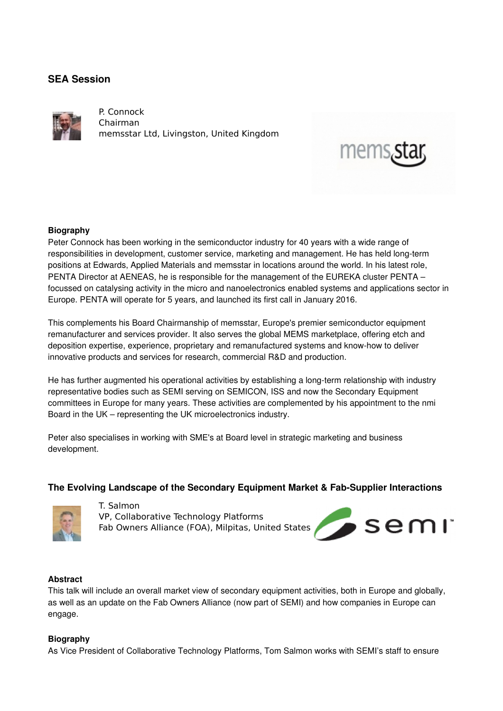# **SEA Session**



P. Connock Chairman memsstar Ltd, Livingston, United Kingdom

### **Biography**

Peter Connock has been working in the semiconductor industry for 40 years with a wide range of responsibilities in development, customer service, marketing and management. He has held long-term positions at Edwards, Applied Materials and memsstar in locations around the world. In his latest role, PENTA Director at AENEAS, he is responsible for the management of the EUREKA cluster PENTA – focussed on catalysing activity in the micro and nanoelectronics enabled systems and applications sector in Europe. PENTA will operate for 5 years, and launched its first call in January 2016.

This complements his Board Chairmanship of memsstar, Europe's premier semiconductor equipment remanufacturer and services provider. It also serves the global MEMS marketplace, offering etch and deposition expertise, experience, proprietary and remanufactured systems and know-how to deliver innovative products and services for research, commercial R&D and production.

He has further augmented his operational activities by establishing a long-term relationship with industry representative bodies such as SEMI serving on SEMICON, ISS and now the Secondary Equipment committees in Europe for many years. These activities are complemented by his appointment to the nmi Board in the UK – representing the UK microelectronics industry.

Peter also specialises in working with SME's at Board level in strategic marketing and business development.

## The Evolving Landscape of the Secondary Equipment Market & Fab-Supplier Interactions



T. Salmon VP, Collaborative Technology Platforms Fab Owners Alliance (FOA), Milpitas, United States



 $mems<sub>s</sub>$ 

#### **Abstract**

This talk will include an overall market view of secondary equipment activities, both in Europe and globally, as well as an update on the Fab Owners Alliance (now part of SEMI) and how companies in Europe can engage.

#### **Biography**

As Vice President of Collaborative Technology Platforms, Tom Salmon works with SEMI's staff to ensure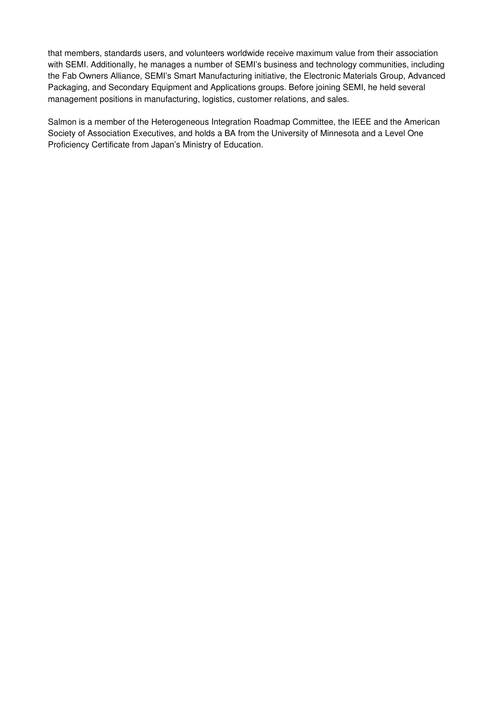that members, standards users, and volunteers worldwide receive maximum value from their association with SEMI. Additionally, he manages a number of SEMI's business and technology communities, including the Fab Owners Alliance, SEMI's Smart Manufacturing initiative, the Electronic Materials Group, Advanced Packaging, and Secondary Equipment and Applications groups. Before joining SEMI, he held several management positions in manufacturing, logistics, customer relations, and sales.

Salmon is a member of the Heterogeneous Integration Roadmap Committee, the IEEE and the American Society of Association Executives, and holds a BA from the University of Minnesota and a Level One Proficiency Certificate from Japan's Ministry of Education.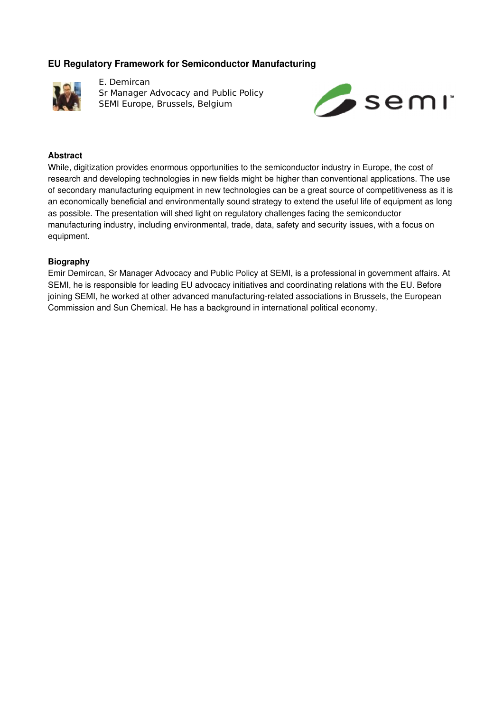## **EU Regulatory Framework for Semiconductor Manufacturing**



E. Demircan Sr Manager Advocacy and Public Policy SEMI Europe, Brussels, Belgium



### **Abstract**

While, digitization provides enormous opportunities to the semiconductor industry in Europe, the cost of research and developing technologies in new fields might be higher than conventional applications. The use of secondary manufacturing equipment in new technologies can be a great source of competitiveness as it is an economically beneficial and environmentally sound strategy to extend the useful life of equipment as long as possible. The presentation will shed light on regulatory challenges facing the semiconductor manufacturing industry, including environmental, trade, data, safety and security issues, with a focus on equipment.

#### **Biography**

Emir Demircan, Sr Manager Advocacy and Public Policy at SEMI, is a professional in government affairs. At SEMI, he is responsible for leading EU advocacy initiatives and coordinating relations with the EU. Before joining SEMI, he worked at other advanced manufacturing-related associations in Brussels, the European Commission and Sun Chemical. He has a background in international political economy.